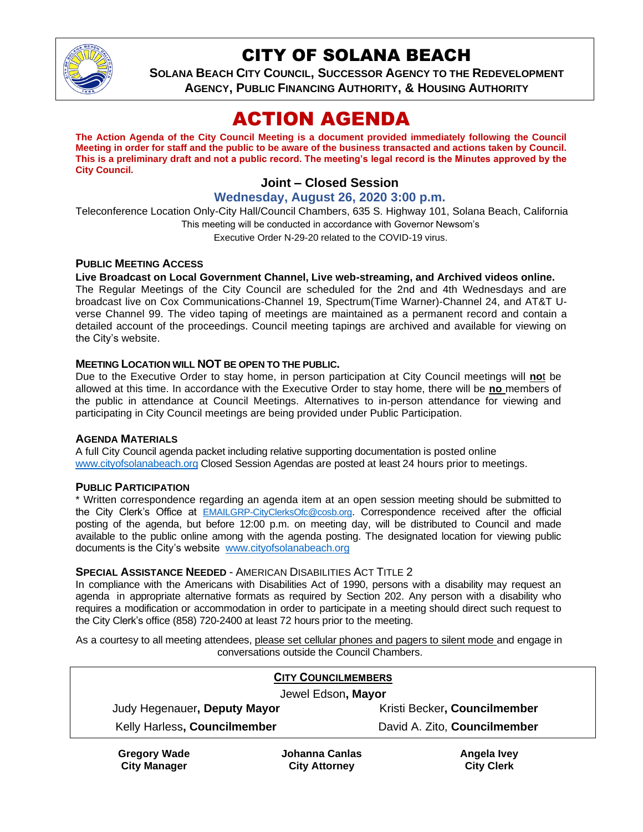

## CITY OF SOLANA BEACH

**SOLANA BEACH CITY COUNCIL, SUCCESSOR AGENCY TO THE REDEVELOPMENT AGENCY, PUBLIC FINANCING AUTHORITY, & HOUSING AUTHORITY**

# ACTION AGENDA

**The Action Agenda of the City Council Meeting is a document provided immediately following the Council Meeting in order for staff and the public to be aware of the business transacted and actions taken by Council. This is a preliminary draft and not a public record. The meeting's legal record is the Minutes approved by the City Council.**

## **Joint – Closed Session**

### **Wednesday, August 26, 2020 3:00 p.m.**

Teleconference Location Only-City Hall/Council Chambers, 635 S. Highway 101, Solana Beach, California This meeting will be conducted in accordance with Governor Newsom's Executive Order N-29-20 related to the COVID-19 virus.

#### **PUBLIC MEETING ACCESS**

#### **Live Broadcast on Local Government Channel, Live web-streaming, and Archived videos online.**

The Regular Meetings of the City Council are scheduled for the 2nd and 4th Wednesdays and are broadcast live on Cox Communications-Channel 19, Spectrum(Time Warner)-Channel 24, and AT&T Uverse Channel 99. The video taping of meetings are maintained as a permanent record and contain a detailed account of the proceedings. Council meeting tapings are archived and available for viewing on the City's website.

#### **MEETING LOCATION WILL NOT BE OPEN TO THE PUBLIC.**

Due to the Executive Order to stay home, in person participation at City Council meetings will **no**t be allowed at this time. In accordance with the Executive Order to stay home, there will be **no** members of the public in attendance at Council Meetings. Alternatives to in-person attendance for viewing and participating in City Council meetings are being provided under Public Participation.

#### **AGENDA MATERIALS**

A full City Council agenda packet including relative supporting documentation is posted online [www.cityofsolanabeach.org](https://urldefense.proofpoint.com/v2/url?u=http-3A__www.cityofsolanabeach.org&d=DwQFAg&c=euGZstcaTDllvimEN8b7jXrwqOf-v5A_CdpgnVfiiMM&r=1XAsCUuqwK_tji2t0s1uIQ&m=wny2RVfZJ2tN24LkqZmkUWNpwL_peNtTZUBlTBZiMM4&s=6ATguqxJUOD7VVtloplAbyuyNaVcEh6Fl4q1iw55lCY&e=) Closed Session Agendas are posted at least 24 hours prior to meetings.

#### **PUBLIC PARTICIPATION**

\* Written correspondence regarding an agenda item at an open session meeting should be submitted to the City Clerk's Office at [EMAILGRP-CityClerksOfc@cosb.org](mailto:EMAILGRP-CityClerksOfc@cosb.org). Correspondence received after the official posting of the agenda, but before 12:00 p.m. on meeting day, will be distributed to Council and made available to the public online among with the agenda posting. The designated location for viewing public documents is the City's website [www.cityofsolanabeach.org](http://www.cityofsolanabeach.org/)

#### **SPECIAL ASSISTANCE NEEDED** - AMERICAN DISABILITIES ACT TITLE 2

In compliance with the Americans with Disabilities Act of 1990, persons with a disability may request an agenda in appropriate alternative formats as required by Section 202. Any person with a disability who requires a modification or accommodation in order to participate in a meeting should direct such request to the City Clerk's office (858) 720-2400 at least 72 hours prior to the meeting.

As a courtesy to all meeting attendees, please set cellular phones and pagers to silent mode and engage in conversations outside the Council Chambers.

| <b>CITY COUNCILMEMBERS</b>   |                |                              |
|------------------------------|----------------|------------------------------|
| Jewel Edson, Mayor           |                |                              |
| Judy Hegenauer, Deputy Mayor |                | Kristi Becker, Councilmember |
| Kelly Harless, Councilmember |                | David A. Zito, Councilmember |
| <b>Gregory Wade</b>          | Johanna Canlas | Angela Ivey                  |

**City Manager**

**Johanna Canlas City Attorney**

**Angela Ivey City Clerk**